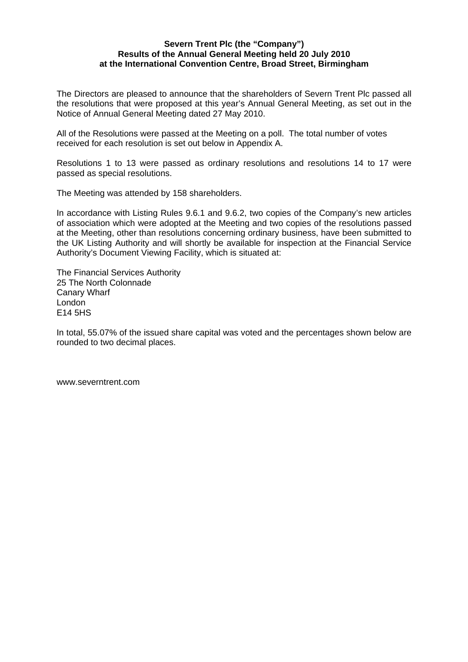## **Severn Trent Plc (the "Company") Results of the Annual General Meeting held 20 July 2010 at the International Convention Centre, Broad Street, Birmingham**

The Directors are pleased to announce that the shareholders of Severn Trent Plc passed all the resolutions that were proposed at this year's Annual General Meeting, as set out in the Notice of Annual General Meeting dated 27 May 2010.

All of the Resolutions were passed at the Meeting on a poll. The total number of votes received for each resolution is set out below in Appendix A.

Resolutions 1 to 13 were passed as ordinary resolutions and resolutions 14 to 17 were passed as special resolutions.

The Meeting was attended by 158 shareholders.

In accordance with Listing Rules 9.6.1 and 9.6.2, two copies of the Company's new articles of association which were adopted at the Meeting and two copies of the resolutions passed at the Meeting, other than resolutions concerning ordinary business, have been submitted to the UK Listing Authority and will shortly be available for inspection at the Financial Service Authority's Document Viewing Facility, which is situated at:

The Financial Services Authority 25 The North Colonnade Canary Wharf London E14 5HS

In total, 55.07% of the issued share capital was voted and the percentages shown below are rounded to two decimal places.

www.severntrent.com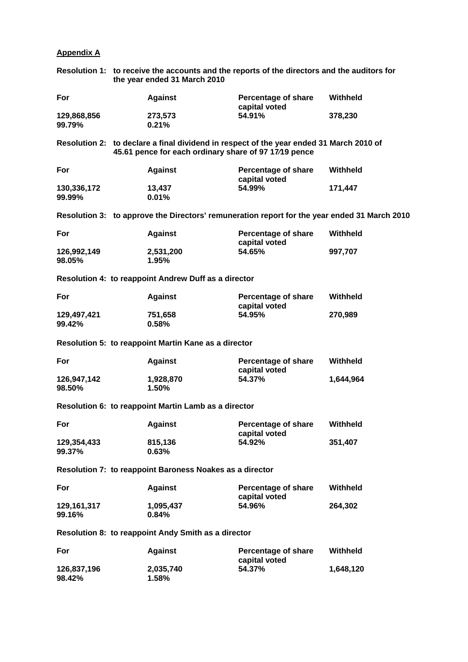# **Appendix A**

| Resolution 1: to receive the accounts and the reports of the directors and the auditors for |
|---------------------------------------------------------------------------------------------|
| the year ended 31 March 2010                                                                |

| For                                                  | <b>Against</b>                                           | Percentage of share<br>capital voted                                                         | Withheld  |  |  |  |
|------------------------------------------------------|----------------------------------------------------------|----------------------------------------------------------------------------------------------|-----------|--|--|--|
| 129,868,856<br>99.79%                                | 273,573<br>0.21%                                         | 54.91%                                                                                       | 378,230   |  |  |  |
|                                                      | 45.61 pence for each ordinary share of 97 17/19 pence    | Resolution 2: to declare a final dividend in respect of the year ended 31 March 2010 of      |           |  |  |  |
| For                                                  | <b>Against</b>                                           | Percentage of share<br>capital voted                                                         | Withheld  |  |  |  |
| 130,336,172                                          | 13,437                                                   | 54.99%                                                                                       | 171,447   |  |  |  |
| 99.99%                                               | 0.01%                                                    |                                                                                              |           |  |  |  |
|                                                      |                                                          | Resolution 3: to approve the Directors' remuneration report for the year ended 31 March 2010 |           |  |  |  |
| For                                                  | <b>Against</b>                                           | Percentage of share<br>capital voted                                                         | Withheld  |  |  |  |
| 126,992,149<br>98.05%                                | 2,531,200<br>1.95%                                       | 54.65%                                                                                       | 997,707   |  |  |  |
|                                                      |                                                          |                                                                                              |           |  |  |  |
|                                                      | Resolution 4: to reappoint Andrew Duff as a director     |                                                                                              |           |  |  |  |
| For                                                  | <b>Against</b>                                           | Percentage of share<br>capital voted                                                         | Withheld  |  |  |  |
| 129,497,421                                          | 751,658                                                  | 54.95%                                                                                       | 270,989   |  |  |  |
| 99.42%                                               | 0.58%                                                    |                                                                                              |           |  |  |  |
|                                                      | Resolution 5: to reappoint Martin Kane as a director     |                                                                                              |           |  |  |  |
| For                                                  | <b>Against</b>                                           | Percentage of share<br>capital voted                                                         | Withheld  |  |  |  |
| 126,947,142                                          | 1,928,870                                                | 54.37%                                                                                       | 1,644,964 |  |  |  |
| 98.50%                                               | 1.50%                                                    |                                                                                              |           |  |  |  |
| Resolution 6: to reappoint Martin Lamb as a director |                                                          |                                                                                              |           |  |  |  |
| For                                                  | <b>Against</b>                                           | Percentage of share<br>capital voted                                                         | Withheld  |  |  |  |
| 129,354,433                                          | 815,136                                                  | 54.92%                                                                                       | 351,407   |  |  |  |
| 99.37%                                               | 0.63%                                                    |                                                                                              |           |  |  |  |
|                                                      | Resolution 7: to reappoint Baroness Noakes as a director |                                                                                              |           |  |  |  |
| For                                                  | <b>Against</b>                                           | <b>Percentage of share</b><br>capital voted                                                  | Withheld  |  |  |  |
| 129, 161, 317                                        | 1,095,437                                                | 54.96%                                                                                       | 264,302   |  |  |  |
| 99.16%                                               | 0.84%                                                    |                                                                                              |           |  |  |  |

# **Resolution 8: to reappoint Andy Smith as a director**

| For                   | <b>Against</b>        | Percentage of share<br>capital voted | Withheld  |
|-----------------------|-----------------------|--------------------------------------|-----------|
| 126.837.196<br>98.42% | 2.035.740<br>$1.58\%$ | 54.37%                               | 1.648.120 |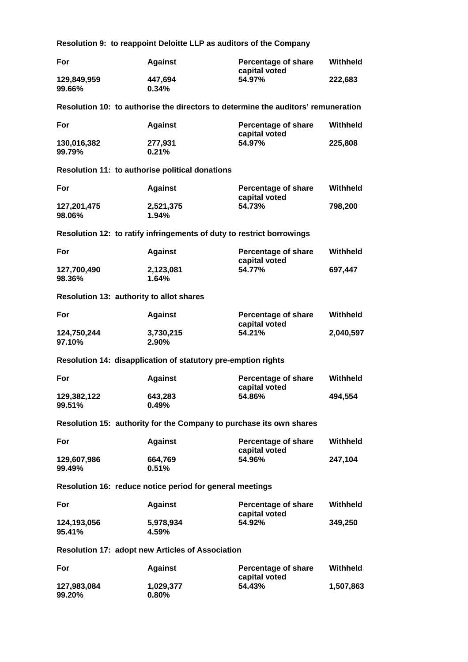**Resolution 9: to reappoint Deloitte LLP as auditors of the Company** 

| For                                      | <b>Against</b>                                                        | <b>Percentage of share</b><br>capital voted                                       | Withheld        |
|------------------------------------------|-----------------------------------------------------------------------|-----------------------------------------------------------------------------------|-----------------|
| 129,849,959<br>99.66%                    | 447,694<br>0.34%                                                      | 54.97%                                                                            | 222,683         |
|                                          |                                                                       | Resolution 10: to authorise the directors to determine the auditors' remuneration |                 |
| For                                      | <b>Against</b>                                                        | <b>Percentage of share</b><br>capital voted                                       | Withheld        |
| 130,016,382<br>99.79%                    | 277,931<br>0.21%                                                      | 54.97%                                                                            | 225,808         |
|                                          | Resolution 11: to authorise political donations                       |                                                                                   |                 |
| For                                      | <b>Against</b>                                                        | <b>Percentage of share</b><br>capital voted                                       | Withheld        |
| 127,201,475<br>98.06%                    | 2,521,375<br>1.94%                                                    | 54.73%                                                                            | 798,200         |
|                                          | Resolution 12: to ratify infringements of duty to restrict borrowings |                                                                                   |                 |
| For                                      | <b>Against</b>                                                        | <b>Percentage of share</b><br>capital voted                                       | <b>Withheld</b> |
| 127,700,490<br>98.36%                    | 2,123,081<br>1.64%                                                    | 54.77%                                                                            | 697,447         |
| Resolution 13: authority to allot shares |                                                                       |                                                                                   |                 |
| For                                      | <b>Against</b>                                                        | <b>Percentage of share</b><br>capital voted                                       | Withheld        |
| 124,750,244<br>97.10%                    | 3,730,215<br>2.90%                                                    | 54.21%                                                                            | 2,040,597       |
|                                          | Resolution 14: disapplication of statutory pre-emption rights         |                                                                                   |                 |
| For                                      | <b>Against</b>                                                        | <b>Percentage of share</b><br>capital voted                                       | Withheld        |
| 129,382,122<br>99.51%                    | 643,283<br>$0.49\%$                                                   | 54.86%                                                                            | 494,554         |
|                                          | Resolution 15: authority for the Company to purchase its own shares   |                                                                                   |                 |
| For                                      | <b>Against</b>                                                        | <b>Percentage of share</b><br>capital voted                                       | <b>Withheld</b> |
| 129,607,986<br>99.49%                    | 664,769<br>0.51%                                                      | 54.96%                                                                            | 247,104         |
|                                          | Resolution 16: reduce notice period for general meetings              |                                                                                   |                 |
| For                                      | <b>Against</b>                                                        | Percentage of share                                                               | <b>Withheld</b> |
| 124,193,056<br>95.41%                    | 5,978,934<br>4.59%                                                    | capital voted<br>54.92%                                                           | 349,250         |
|                                          | <b>Resolution 17: adopt new Articles of Association</b>               |                                                                                   |                 |
| For                                      | <b>Against</b>                                                        | <b>Percentage of share</b>                                                        | <b>Withheld</b> |
| 127,983,084<br>99.20%                    | 1,029,377<br>0.80%                                                    | capital voted<br>54.43%                                                           | 1,507,863       |